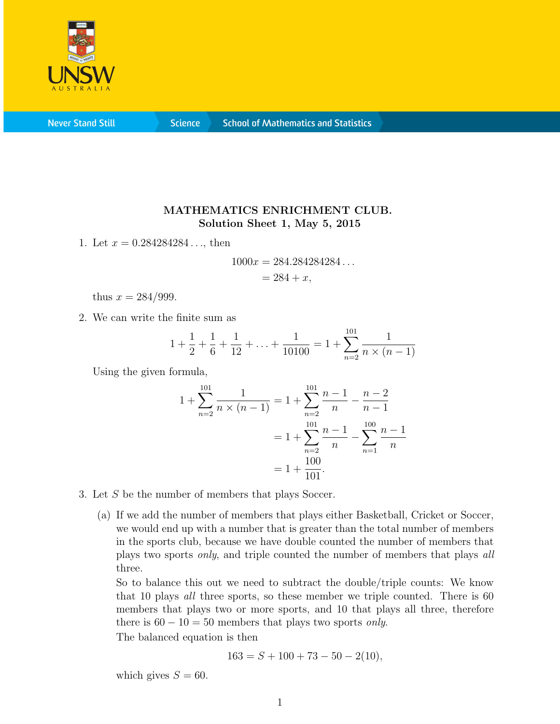

**Never Stand Still** 

**Science** 

## MATHEMATICS ENRICHMENT CLUB. Solution Sheet 1, May 5, 2015

1. Let  $x = 0.284284284...$ , then

$$
1000x = 284.284284284...
$$
  
= 284 + x,

thus  $x = 284/999$ .

2. We can write the finite sum as

$$
1 + \frac{1}{2} + \frac{1}{6} + \frac{1}{12} + \ldots + \frac{1}{10100} = 1 + \sum_{n=2}^{101} \frac{1}{n \times (n-1)}
$$

Using the given formula,

$$
1 + \sum_{n=2}^{101} \frac{1}{n \times (n-1)} = 1 + \sum_{n=2}^{101} \frac{n-1}{n} - \frac{n-2}{n-1}
$$

$$
= 1 + \sum_{n=2}^{101} \frac{n-1}{n} - \sum_{n=1}^{100} \frac{n-1}{n}
$$

$$
= 1 + \frac{100}{101}.
$$

- 3. Let S be the number of members that plays Soccer.
	- (a) If we add the number of members that plays either Basketball, Cricket or Soccer, we would end up with a number that is greater than the total number of members in the sports club, because we have double counted the number of members that plays two sports only, and triple counted the number of members that plays all three.

So to balance this out we need to subtract the double/triple counts: We know that 10 plays all three sports, so these member we triple counted. There is 60 members that plays two or more sports, and 10 that plays all three, therefore there is  $60 - 10 = 50$  members that plays two sports *only*.

The balanced equation is then

$$
163 = S + 100 + 73 - 50 - 2(10),
$$

which gives  $S = 60$ .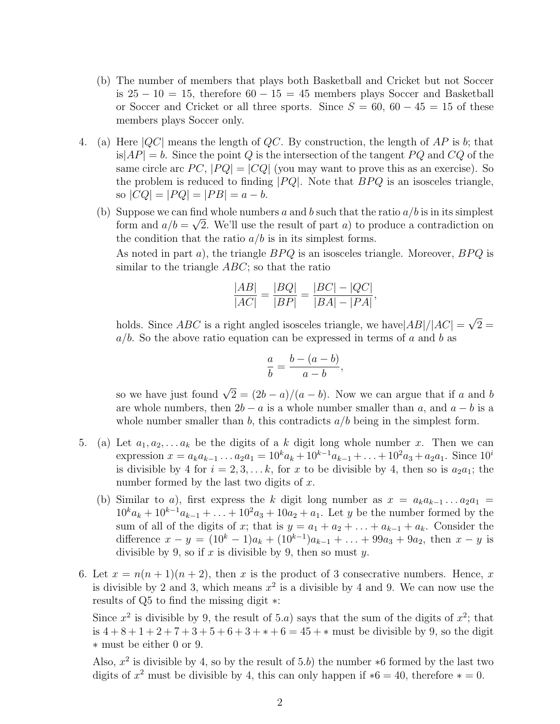- (b) The number of members that plays both Basketball and Cricket but not Soccer is  $25 - 10 = 15$ , therefore  $60 - 15 = 45$  members plays Soccer and Basketball or Soccer and Cricket or all three sports. Since  $S = 60, 60 - 45 = 15$  of these members plays Soccer only.
- 4. (a) Here  $|QC|$  means the length of QC. By construction, the length of AP is b; that is $|AP| = b$ . Since the point Q is the intersection of the tangent PQ and CQ of the same circle arc  $PC$ ,  $|PQ| = |CQ|$  (you may want to prove this as an exercise). So the problem is reduced to finding  $|PQ|$ . Note that  $BPQ$  is an isosceles triangle, so  $|CQ| = |PQ| = |PB| = a - b.$ 
	- (b) Suppose we can find whole numbers a and b such that the ratio  $a/b$  is in its simplest form and  $a/b = \sqrt{2}$ . We'll use the result of part a) to produce a contradiction on the condition that the ratio  $a/b$  is in its simplest forms.

As noted in part  $a$ ), the triangle  $BPQ$  is an isosceles triangle. Moreover,  $BPQ$  is similar to the triangle  $ABC$ ; so that the ratio

$$
\frac{|AB|}{|AC|} = \frac{|BQ|}{|BP|} = \frac{|BC| - |QC|}{|BA| - |PA|},
$$

holds. Since  $ABC$  is a right angled isosceles triangle, we have  $|AB|/|AC|$  = √  $2 =$  $a/b$ . So the above ratio equation can be expressed in terms of a and b as

$$
\frac{a}{b} = \frac{b - (a - b)}{a - b},
$$

so we have just found  $\sqrt{2} = (2b - a)/(a - b)$ . Now we can argue that if a and b are whole numbers, then  $2b - a$  is a whole number smaller than a, and  $a - b$  is a whole number smaller than b, this contradicts  $a/b$  being in the simplest form.

- 5. (a) Let  $a_1, a_2, \ldots a_k$  be the digits of a k digit long whole number x. Then we can expression  $x = a_k a_{k-1} \dots a_2 a_1 = 10^k a_k + 10^{k-1} a_{k-1} + \dots + 10^2 a_3 + a_2 a_1$ . Since  $10^i$ is divisible by 4 for  $i = 2, 3, \ldots k$ , for x to be divisible by 4, then so is  $a_2a_1$ ; the number formed by the last two digits of  $x$ .
	- (b) Similar to a), first express the k digit long number as  $x = a_k a_{k-1} \dots a_2 a_1 =$  $10^k a_k + 10^{k-1} a_{k-1} + \ldots + 10^2 a_3 + 10 a_2 + a_1$ . Let y be the number formed by the sum of all of the digits of x; that is  $y = a_1 + a_2 + \ldots + a_{k-1} + a_k$ . Consider the difference  $x - y = (10^k - 1)a_k + (10^{k-1})a_{k-1} + \ldots + 99a_3 + 9a_2$ , then  $x - y$  is divisible by 9, so if  $x$  is divisible by 9, then so must  $y$ .
- 6. Let  $x = n(n+1)(n+2)$ , then x is the product of 3 consecrative numbers. Hence, x is divisible by 2 and 3, which means  $x^2$  is a divisible by 4 and 9. We can now use the results of Q5 to find the missing digit ∗:

Since  $x^2$  is divisible by 9, the result of 5.a) says that the sum of the digits of  $x^2$ ; that is  $4 + 8 + 1 + 2 + 7 + 3 + 5 + 6 + 3 + \cdots + 6 = 45 + \cdots$  must be divisible by 9, so the digit ∗ must be either 0 or 9.

Also,  $x^2$  is divisible by 4, so by the result of 5.b) the number  $*6$  formed by the last two digits of  $x^2$  must be divisible by 4, this can only happen if  $*6 = 40$ , therefore  $* = 0$ .